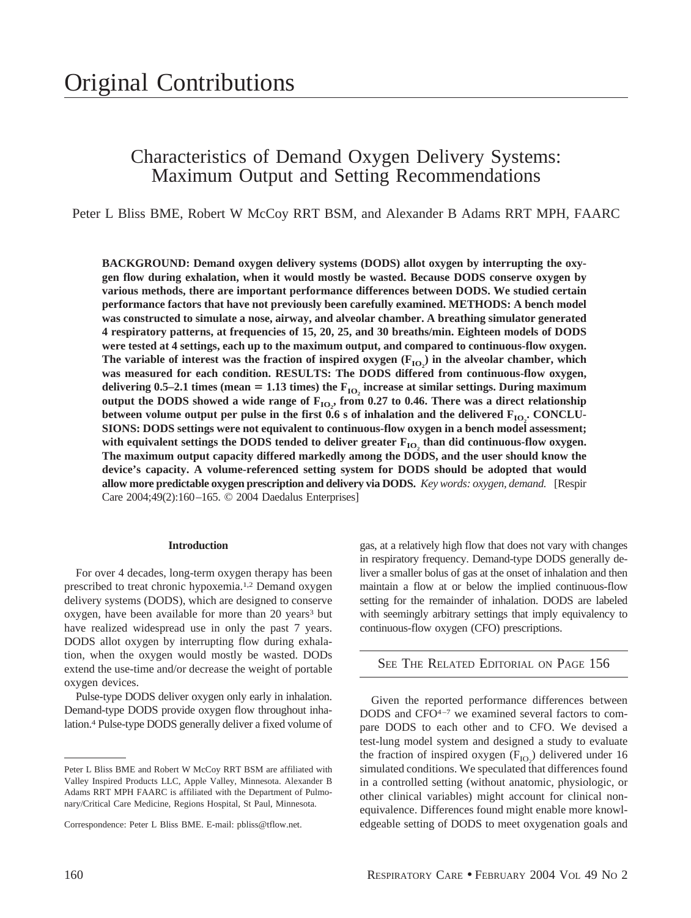# Characteristics of Demand Oxygen Delivery Systems: Maximum Output and Setting Recommendations

Peter L Bliss BME, Robert W McCoy RRT BSM, and Alexander B Adams RRT MPH, FAARC

**BACKGROUND: Demand oxygen delivery systems (DODS) allot oxygen by interrupting the oxygen flow during exhalation, when it would mostly be wasted. Because DODS conserve oxygen by various methods, there are important performance differences between DODS. We studied certain performance factors that have not previously been carefully examined. METHODS: A bench model was constructed to simulate a nose, airway, and alveolar chamber. A breathing simulator generated 4 respiratory patterns, at frequencies of 15, 20, 25, and 30 breaths/min. Eighteen models of DODS were tested at 4 settings, each up to the maximum output, and compared to continuous-flow oxygen.** The variable of interest was the fraction of inspired oxygen  $(F_{IO_2})$  in the alveolar chamber, which **was measured for each condition. RESULTS: The DODS differed from continuous-flow oxygen,** delivering 0.5–2.1 times (mean = 1.13 times) the  $F_{IO}$  increase at similar settings. During maximum output the DODS showed a wide range of  $\mathbf{F_{IO_2}}$ , from 0.27 to 0.46. There was a direct relationship between volume output per pulse in the first  $0.6$  s of inhalation and the delivered  $\mathrm{F_{IO_2}}$ . CONCLU-**SIONS: DODS settings were not equivalent to continuous-flow oxygen in a bench model assessment;** with equivalent settings the DODS tended to deliver greater  $F_{IO}$ , than did continuous-flow oxygen. **The maximum output capacity differed markedly among the DODS, and the user should know the device's capacity. A volume-referenced setting system for DODS should be adopted that would allow more predictable oxygen prescription and delivery via DODS.** *Key words: oxygen, demand.* [Respir Care 2004;49(2):160–165. © 2004 Daedalus Enterprises]

## **Introduction**

For over 4 decades, long-term oxygen therapy has been prescribed to treat chronic hypoxemia.1,2 Demand oxygen delivery systems (DODS), which are designed to conserve oxygen, have been available for more than 20 years<sup>3</sup> but have realized widespread use in only the past 7 years. DODS allot oxygen by interrupting flow during exhalation, when the oxygen would mostly be wasted. DODs extend the use-time and/or decrease the weight of portable oxygen devices.

Pulse-type DODS deliver oxygen only early in inhalation. Demand-type DODS provide oxygen flow throughout inhalation.4 Pulse-type DODS generally deliver a fixed volume of gas, at a relatively high flow that does not vary with changes in respiratory frequency. Demand-type DODS generally deliver a smaller bolus of gas at the onset of inhalation and then maintain a flow at or below the implied continuous-flow setting for the remainder of inhalation. DODS are labeled with seemingly arbitrary settings that imply equivalency to continuous-flow oxygen (CFO) prescriptions.

## SEE THE RELATED EDITORIAL ON PAGE 156

Given the reported performance differences between DODS and CFO4–7 we examined several factors to compare DODS to each other and to CFO. We devised a test-lung model system and designed a study to evaluate the fraction of inspired oxygen  $(F_{IO_2})$  delivered under 16 simulated conditions. We speculated that differences found in a controlled setting (without anatomic, physiologic, or other clinical variables) might account for clinical nonequivalence. Differences found might enable more knowledgeable setting of DODS to meet oxygenation goals and

Peter L Bliss BME and Robert W McCoy RRT BSM are affiliated with Valley Inspired Products LLC, Apple Valley, Minnesota. Alexander B Adams RRT MPH FAARC is affiliated with the Department of Pulmonary/Critical Care Medicine, Regions Hospital, St Paul, Minnesota.

Correspondence: Peter L Bliss BME. E-mail: pbliss@tflow.net.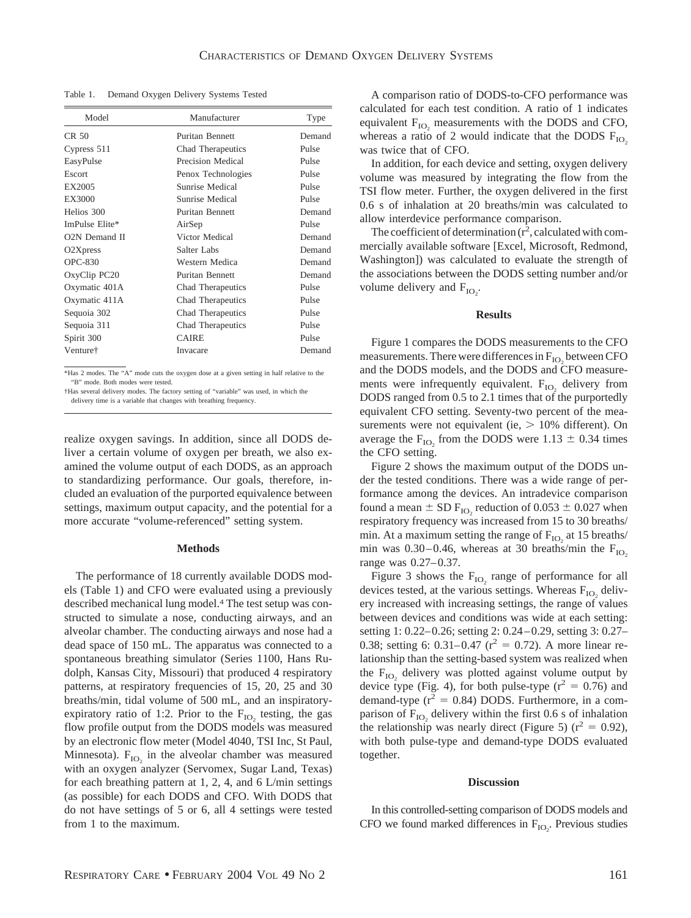Table 1. Demand Oxygen Delivery Systems Tested

| Model                             | Manufacturer           | Type   |
|-----------------------------------|------------------------|--------|
| CR <sub>50</sub>                  | Puritan Bennett        | Demand |
| Cypress 511                       | Chad Therapeutics      | Pulse  |
| EasyPulse                         | Precision Medical      | Pulse  |
| Escort                            | Penox Technologies     | Pulse  |
| EX2005                            | Sunrise Medical        | Pulse  |
| EX3000                            | Sunrise Medical        | Pulse  |
| Helios 300                        | <b>Puritan Bennett</b> | Demand |
| ImPulse Elite*                    | AirSep                 | Pulse  |
| O <sub>2</sub> N Demand II        | Victor Medical         | Demand |
| O <sub>2</sub> X <sub>press</sub> | Salter Labs            | Demand |
| <b>OPC-830</b>                    | Western Medica         | Demand |
| OxyClip PC20                      | Puritan Bennett        | Demand |
| Oxymatic 401A                     | Chad Therapeutics      | Pulse  |
| Oxymatic 411A                     | Chad Therapeutics      | Pulse  |
| Sequoia 302                       | Chad Therapeutics      | Pulse  |
| Sequoia 311                       | Chad Therapeutics      | Pulse  |
| Spirit 300                        | <b>CAIRE</b>           | Pulse  |
| Venture†                          | Invacare               | Demand |

\*Has 2 modes. The "A" mode cuts the oxygen dose at a given setting in half relative to the "B" mode. Both modes were tested.

realize oxygen savings. In addition, since all DODS deliver a certain volume of oxygen per breath, we also examined the volume output of each DODS, as an approach to standardizing performance. Our goals, therefore, included an evaluation of the purported equivalence between settings, maximum output capacity, and the potential for a more accurate "volume-referenced" setting system.

### **Methods**

The performance of 18 currently available DODS models (Table 1) and CFO were evaluated using a previously described mechanical lung model.4 The test setup was constructed to simulate a nose, conducting airways, and an alveolar chamber. The conducting airways and nose had a dead space of 150 mL. The apparatus was connected to a spontaneous breathing simulator (Series 1100, Hans Rudolph, Kansas City, Missouri) that produced 4 respiratory patterns, at respiratory frequencies of 15, 20, 25 and 30 breaths/min, tidal volume of 500 mL, and an inspiratoryexpiratory ratio of 1:2. Prior to the  $F_{IO}$  testing, the gas flow profile output from the DODS models was measured by an electronic flow meter (Model 4040, TSI Inc, St Paul, Minnesota).  $F_{IO}$  in the alveolar chamber was measured with an oxygen analyzer (Servomex, Sugar Land, Texas) for each breathing pattern at 1, 2, 4, and 6 L/min settings (as possible) for each DODS and CFO. With DODS that do not have settings of 5 or 6, all 4 settings were tested from 1 to the maximum.

A comparison ratio of DODS-to-CFO performance was calculated for each test condition. A ratio of 1 indicates equivalent  $F_{IO}$ , measurements with the DODS and CFO, whereas a ratio of 2 would indicate that the DODS  $F_{IO}$ was twice that of CFO.

In addition, for each device and setting, oxygen delivery volume was measured by integrating the flow from the TSI flow meter. Further, the oxygen delivered in the first 0.6 s of inhalation at 20 breaths/min was calculated to allow interdevice performance comparison.

The coefficient of determination  $(r^2)$ , calculated with commercially available software [Excel, Microsoft, Redmond, Washington]) was calculated to evaluate the strength of the associations between the DODS setting number and/or volume delivery and  $F_{IO_2}$ .

## **Results**

Figure 1 compares the DODS measurements to the CFO measurements. There were differences in  $F_{IO_2}$  between CFO and the DODS models, and the DODS and CFO measurements were infrequently equivalent.  $F_{IO}$  delivery from DODS ranged from 0.5 to 2.1 times that of the purportedly equivalent CFO setting. Seventy-two percent of the measurements were not equivalent (ie,  $> 10\%$  different). On average the  $F_{IO_2}$  from the DODS were 1.13  $\pm$  0.34 times the CFO setting.

Figure 2 shows the maximum output of the DODS under the tested conditions. There was a wide range of performance among the devices. An intradevice comparison found a mean  $\pm$  SD  $F_{IO_2}$  reduction of 0.053  $\pm$  0.027 when respiratory frequency was increased from 15 to 30 breaths/ min. At a maximum setting the range of  $F_{IO}$ , at 15 breaths/ min was  $0.30-0.46$ , whereas at 30 breaths/min the  $F_{IO}$ , range was 0.27–0.37.

Figure 3 shows the  $F_{IO}$  range of performance for all devices tested, at the various settings. Whereas  $F_{IO}$  delivery increased with increasing settings, the range of values between devices and conditions was wide at each setting: setting 1: 0.22–0.26; setting 2: 0.24–0.29, setting 3: 0.27– 0.38; setting 6: 0.31–0.47 ( $r^2 = 0.72$ ). A more linear relationship than the setting-based system was realized when the  $F_{IO}$  delivery was plotted against volume output by device type (Fig. 4), for both pulse-type ( $r^2 = 0.76$ ) and demand-type  $(r^2 = 0.84)$  DODS. Furthermore, in a comparison of  $F_{IO}$ , delivery within the first 0.6 s of inhalation the relationship was nearly direct (Figure 5) ( $r^2 = 0.92$ ), with both pulse-type and demand-type DODS evaluated together.

#### **Discussion**

In this controlled-setting comparison of DODS models and CFO we found marked differences in  $F_{IO_2}$ . Previous studies

<sup>†</sup>Has several delivery modes. The factory setting of "variable" was used, in which the delivery time is a variable that changes with breathing frequency.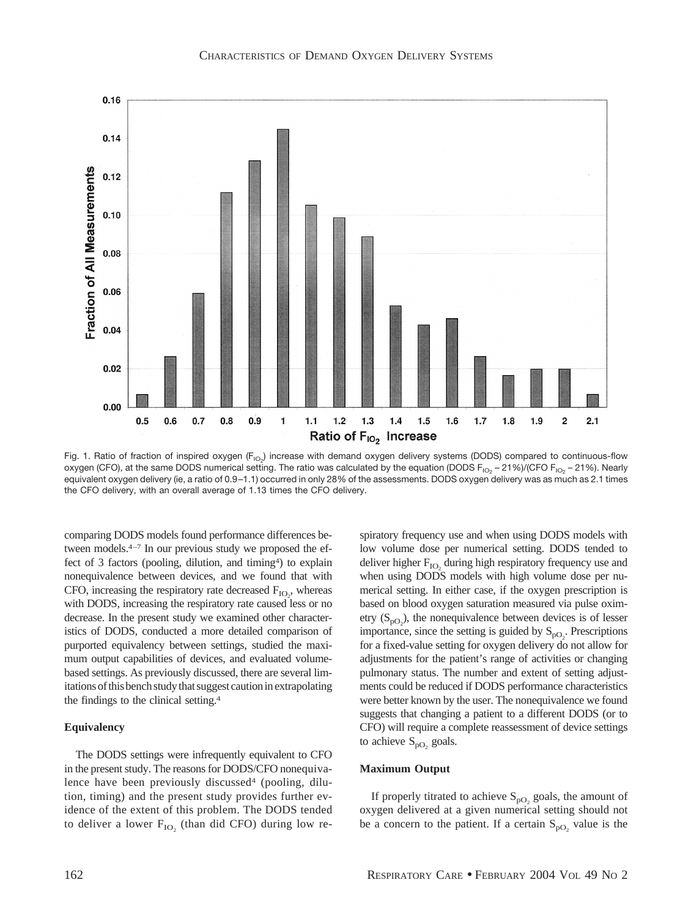

Fig. 1. Ratio of fraction of inspired oxygen (F<sub>IO2</sub>) increase with demand oxygen delivery systems (DODS) compared to continuous-flow oxygen (CFO), at the same DODS numerical setting. The ratio was calculated by the equation (DODS  $F_{1O_2}$  – 21%)/(CFO  $F_{1O_2}$  – 21%). Nearly equivalent oxygen delivery (ie, a ratio of 0.9–1.1) occurred in only 28% of the assessments. DODS oxygen delivery was as much as 2.1 times the CFO delivery, with an overall average of 1.13 times the CFO delivery.

comparing DODS models found performance differences between models.4–7 In our previous study we proposed the effect of 3 factors (pooling, dilution, and timing<sup>4</sup>) to explain nonequivalence between devices, and we found that with CFO, increasing the respiratory rate decreased  $F_{IO_2}$ , whereas with DODS, increasing the respiratory rate caused less or no decrease. In the present study we examined other characteristics of DODS, conducted a more detailed comparison of purported equivalency between settings, studied the maximum output capabilities of devices, and evaluated volumebased settings. As previously discussed, there are several limitations of this bench study that suggest caution in extrapolating the findings to the clinical setting.4

## **Equivalency**

The DODS settings were infrequently equivalent to CFO in the present study. The reasons for DODS/CFO nonequivalence have been previously discussed<sup>4</sup> (pooling, dilution, timing) and the present study provides further evidence of the extent of this problem. The DODS tended to deliver a lower  $F_{IO}$  (than did CFO) during low respiratory frequency use and when using DODS models with low volume dose per numerical setting. DODS tended to deliver higher  $F_{IO}$ , during high respiratory frequency use and when using DODS models with high volume dose per numerical setting. In either case, if the oxygen prescription is based on blood oxygen saturation measured via pulse oximetry  $(S_{pQ_2})$ , the nonequivalence between devices is of lesser importance, since the setting is guided by  $S_{pQ_2}$ . Prescriptions for a fixed-value setting for oxygen delivery do not allow for adjustments for the patient's range of activities or changing pulmonary status. The number and extent of setting adjustments could be reduced if DODS performance characteristics were better known by the user. The nonequivalence we found suggests that changing a patient to a different DODS (or to CFO) will require a complete reassessment of device settings to achieve  $S_{\text{pO}_2}$  goals.

## **Maximum Output**

If properly titrated to achieve  $S_{pQ}$  goals, the amount of oxygen delivered at a given numerical setting should not be a concern to the patient. If a certain  $S_{pQ}$ , value is the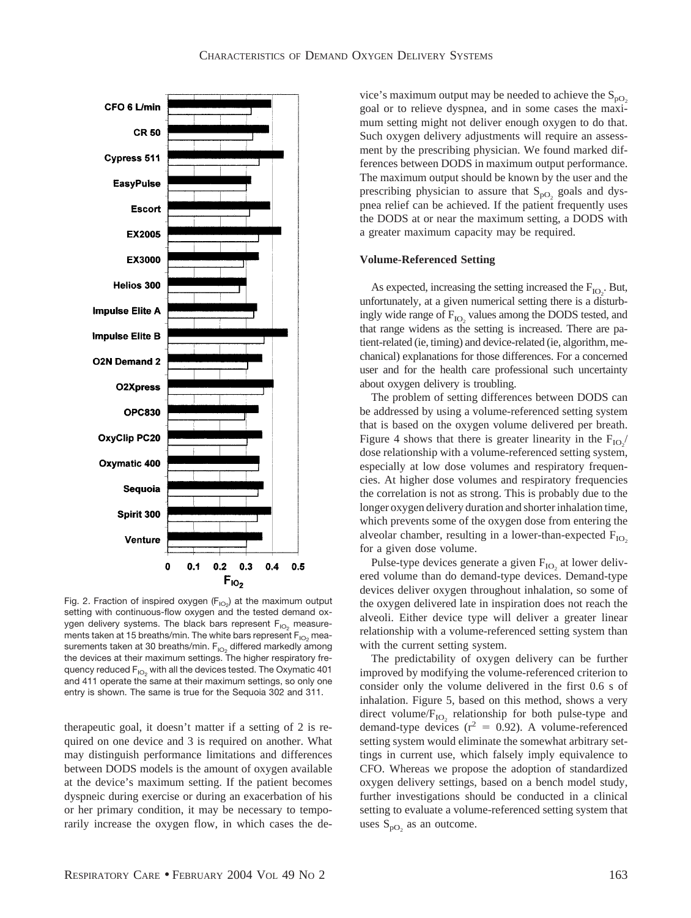

Fig. 2. Fraction of inspired oxygen  $(F_{IO_2})$  at the maximum output setting with continuous-flow oxygen and the tested demand oxygen delivery systems. The black bars represent  $F_{102}$  measurements taken at 15 breaths/min. The white bars represent  $F_{1O_2}$  measurements taken at 30 breaths/min.  $F_{1O_2}$  differed markedly among the devices at their maximum settings. The higher respiratory frequency reduced  $F_{IO_2}$  with all the devices tested. The Oxymatic 401 and 411 operate the same at their maximum settings, so only one entry is shown. The same is true for the Sequoia 302 and 311.

therapeutic goal, it doesn't matter if a setting of 2 is required on one device and 3 is required on another. What may distinguish performance limitations and differences between DODS models is the amount of oxygen available at the device's maximum setting. If the patient becomes dyspneic during exercise or during an exacerbation of his or her primary condition, it may be necessary to temporarily increase the oxygen flow, in which cases the device's maximum output may be needed to achieve the  $S_{pQ}$ goal or to relieve dyspnea, and in some cases the maximum setting might not deliver enough oxygen to do that. Such oxygen delivery adjustments will require an assessment by the prescribing physician. We found marked differences between DODS in maximum output performance. The maximum output should be known by the user and the prescribing physician to assure that  $S_{pQ}$  goals and dyspnea relief can be achieved. If the patient frequently uses the DODS at or near the maximum setting, a DODS with a greater maximum capacity may be required.

## **Volume-Referenced Setting**

As expected, increasing the setting increased the  $F_{IO_2}$ . But, unfortunately, at a given numerical setting there is a disturbingly wide range of  $F_{IO}$ , values among the DODS tested, and that range widens as the setting is increased. There are patient-related (ie, timing) and device-related (ie, algorithm, mechanical) explanations for those differences. For a concerned user and for the health care professional such uncertainty about oxygen delivery is troubling.

The problem of setting differences between DODS can be addressed by using a volume-referenced setting system that is based on the oxygen volume delivered per breath. Figure 4 shows that there is greater linearity in the  $F_{IO_2}$ dose relationship with a volume-referenced setting system, especially at low dose volumes and respiratory frequencies. At higher dose volumes and respiratory frequencies the correlation is not as strong. This is probably due to the longer oxygen delivery duration and shorter inhalation time, which prevents some of the oxygen dose from entering the alveolar chamber, resulting in a lower-than-expected  $F_{IO}$ for a given dose volume.

Pulse-type devices generate a given  $F_{IO}$ , at lower delivered volume than do demand-type devices. Demand-type devices deliver oxygen throughout inhalation, so some of the oxygen delivered late in inspiration does not reach the alveoli. Either device type will deliver a greater linear relationship with a volume-referenced setting system than with the current setting system.

The predictability of oxygen delivery can be further improved by modifying the volume-referenced criterion to consider only the volume delivered in the first 0.6 s of inhalation. Figure 5, based on this method, shows a very direct volume/ $F_{IO}$ , relationship for both pulse-type and demand-type devices  $(r^2 = 0.92)$ . A volume-referenced setting system would eliminate the somewhat arbitrary settings in current use, which falsely imply equivalence to CFO. Whereas we propose the adoption of standardized oxygen delivery settings, based on a bench model study, further investigations should be conducted in a clinical setting to evaluate a volume-referenced setting system that uses  $S_{\text{pO}_2}$  as an outcome.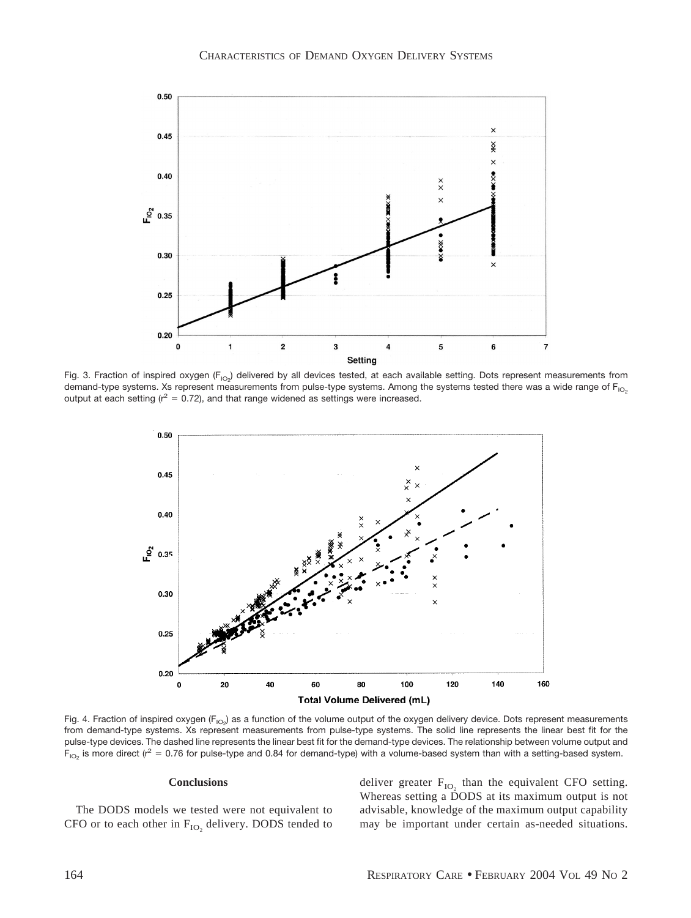

Fig. 3. Fraction of inspired oxygen (F<sub>IO2</sub>) delivered by all devices tested, at each available setting. Dots represent measurements from demand-type systems. Xs represent measurements from pulse-type systems. Among the systems tested there was a wide range of  $F_{1O_2}$ output at each setting ( $r^2 = 0.72$ ), and that range widened as settings were increased.



Fig. 4. Fraction of inspired oxygen (F<sub>IO2</sub>) as a function of the volume output of the oxygen delivery device. Dots represent measurements from demand-type systems. Xs represent measurements from pulse-type systems. The solid line represents the linear best fit for the pulse-type devices. The dashed line represents the linear best fit for the demand-type devices. The relationship between volume output and  $F_{10<sub>2</sub>}$  is more direct (r<sup>2</sup> = 0.76 for pulse-type and 0.84 for demand-type) with a volume-based system than with a setting-based system.

## **Conclusions**

The DODS models we tested were not equivalent to CFO or to each other in  $F_{IO}$ , delivery. DODS tended to deliver greater  $F_{IO}$ , than the equivalent CFO setting. Whereas setting a DODS at its maximum output is not advisable, knowledge of the maximum output capability may be important under certain as-needed situations.